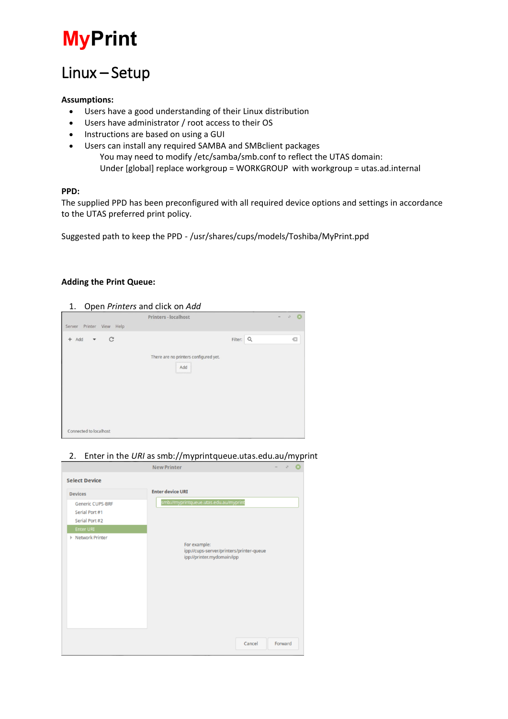# **MyPrint**

# Linux – Setup

### **Assumptions:**

- Users have a good understanding of their Linux distribution
- Users have administrator / root access to their OS
- Instructions are based on using a GUI
- Users can install any required SAMBA and SMBclient packages You may need to modify /etc/samba/smb.conf to reflect the UTAS domain: Under [global] replace workgroup = WORKGROUP with workgroup = utas.ad.internal

### **PPD:**

The supplied PPD has been preconfigured with all required device options and settings in accordance to the UTAS preferred print policy.

Suggested path to keep the PPD - /usr/shares/cups/models/Toshiba/MyPrint.ppd

### **Adding the Print Queue:**

### 1. Open *Printers* and click on *Add*

|                          | Printers - localhost                                    | $0 - 8$<br>$\sim$ |
|--------------------------|---------------------------------------------------------|-------------------|
| Server Printer View Help |                                                         |                   |
| $+$ Add $ C$             | Filter:<br>There are no printers configured yet.<br>Add | $\alpha$<br>G     |
| Connected to localhost   |                                                         |                   |

2. Enter in the *URI* as smb://myprintqueue.utas.edu.au/myprint

|                         | <b>New Printer</b>                                                                     |        | $\mathbf{r}_{\mathcal{A}}^{\mathcal{R}}$ |  |
|-------------------------|----------------------------------------------------------------------------------------|--------|------------------------------------------|--|
| <b>Select Device</b>    |                                                                                        |        |                                          |  |
| <b>Devices</b>          | <b>Enter device URI</b>                                                                |        |                                          |  |
| <b>Generic CUPS-BRF</b> | smb://myprintqueue.utas.edu.au/myprint                                                 |        |                                          |  |
| Serial Port #1          |                                                                                        |        |                                          |  |
| Serial Port #2          |                                                                                        |        |                                          |  |
| Enter URI               |                                                                                        |        |                                          |  |
| <b>Network Printer</b>  | For example:<br>ipp://cups-server/printers/printer-queue<br>ipp://printer.mydomain/ipp |        |                                          |  |
|                         |                                                                                        |        |                                          |  |
|                         |                                                                                        |        |                                          |  |
|                         |                                                                                        |        |                                          |  |
|                         |                                                                                        |        |                                          |  |
|                         |                                                                                        |        |                                          |  |
|                         |                                                                                        | Cancel | Forward                                  |  |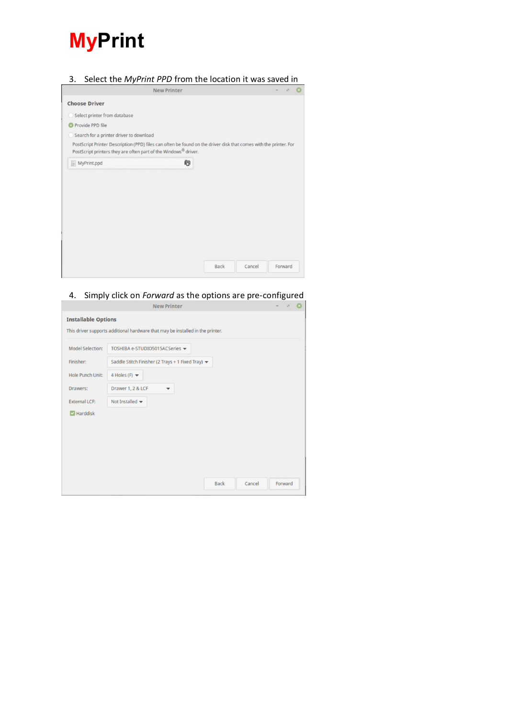

# 3. Select the *MyPrint PPD* from the location it was saved in

| <b>New Printer</b>                                                                                                                                                                               |      |        | $\mathcal{L}_{\mathcal{A}}$ |  |
|--------------------------------------------------------------------------------------------------------------------------------------------------------------------------------------------------|------|--------|-----------------------------|--|
| <b>Choose Driver</b>                                                                                                                                                                             |      |        |                             |  |
| Select printer from database<br>O                                                                                                                                                                |      |        |                             |  |
| <b>O</b> Provide PPD file                                                                                                                                                                        |      |        |                             |  |
| Search for a printer driver to download                                                                                                                                                          |      |        |                             |  |
| PostScript Printer Description (PPD) files can often be found on the driver disk that comes with the printer. For<br>PostScript printers they are often part of the Windows <sup>®</sup> driver. |      |        |                             |  |
| 布<br>$\equiv$ MyPrint.ppd                                                                                                                                                                        |      |        |                             |  |
|                                                                                                                                                                                                  |      |        |                             |  |
|                                                                                                                                                                                                  |      |        |                             |  |
|                                                                                                                                                                                                  |      |        |                             |  |
|                                                                                                                                                                                                  |      |        |                             |  |
|                                                                                                                                                                                                  |      |        |                             |  |
|                                                                                                                                                                                                  |      |        |                             |  |
|                                                                                                                                                                                                  |      |        |                             |  |
|                                                                                                                                                                                                  |      |        |                             |  |
|                                                                                                                                                                                                  |      |        |                             |  |
|                                                                                                                                                                                                  | Back | Cancel | Forward                     |  |

# 4. Simply click on *Forward* as the options are pre-configured

|                            | New Printer                                                                    |         | and the state of the state of<br>$\sim$ |
|----------------------------|--------------------------------------------------------------------------------|---------|-----------------------------------------|
| <b>Installable Options</b> | This driver supports additional hardware that may be installed in the printer. |         |                                         |
| <b>Model Selection:</b>    | TOSHIBA e-STUDIO5015ACSeries -                                                 |         |                                         |
| Finisher:                  | Saddle Stitch Finisher (2 Trays + 1 Fixed Tray) =                              |         |                                         |
| <b>Hole Punch Unit:</b>    | 4 Holes (F) $\blacktriangledown$                                               |         |                                         |
| Drawers:                   | Drawer 1, 2 & LCF<br>$\overline{\phantom{a}}$                                  |         |                                         |
| <b>External LCF:</b>       | Not Installed $\blacktriangleright$                                            |         |                                         |
| $\triangleright$ Harddisk  |                                                                                |         |                                         |
|                            |                                                                                |         |                                         |
|                            |                                                                                |         |                                         |
|                            |                                                                                |         |                                         |
|                            |                                                                                |         |                                         |
|                            |                                                                                |         |                                         |
|                            | <b>Back</b><br>Cancel                                                          | Forward |                                         |
|                            |                                                                                |         |                                         |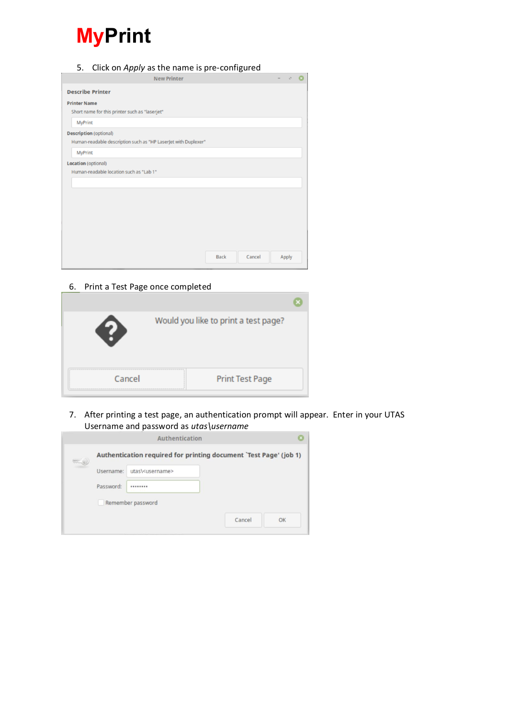# **MyPrint**

- 5. Click on *Apply* as the name is pre-configured New Printer  $\ddot{\circ}$  $\sigma$ **Describe Printer Printer Name** Short name for this printer such as "laserjet" MyPrint **Description** (optional) Human-readable description such as "HP LaserJet with Duplexer" **MyPrint** Location (optional) Human-readable location such as "Lab 1" Back Cancel Apply
	- 6. Print a Test Page once completed

|        | Would you like to print a test page? |  |
|--------|--------------------------------------|--|
| Cancel | <b>Print Test Page</b>               |  |

7. After printing a test page, an authentication prompt will appear. Enter in your UTAS Username and password as *utas\username*

|         |           | Authentication              |                                                                   |    |
|---------|-----------|-----------------------------|-------------------------------------------------------------------|----|
| 0.00000 |           |                             | Authentication required for printing document `Test Page' (job 1) |    |
|         | Username: | utas\ <username></username> |                                                                   |    |
|         | Password: |                             |                                                                   |    |
|         |           | Remember password           |                                                                   |    |
|         |           |                             | Cancel                                                            | OK |
|         |           |                             |                                                                   |    |